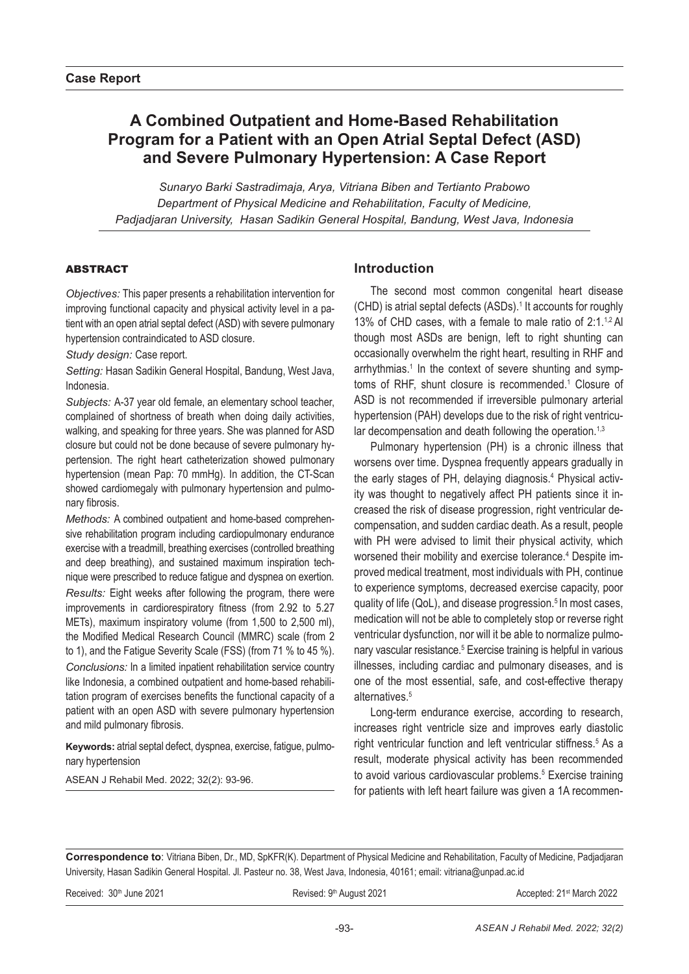# **A Combined Outpatient and Home-Based Rehabilitation Program for a Patient with an Open Atrial Septal Defect (ASD) and Severe Pulmonary Hypertension: A Case Report**

*Sunaryo Barki Sastradimaja, Arya, Vitriana Biben and Tertianto Prabowo Department of Physical Medicine and Rehabilitation, Faculty of Medicine, Padjadjaran University, Hasan Sadikin General Hospital, Bandung, West Java, Indonesia*

#### ABSTRACT

*Objectives:* This paper presents a rehabilitation intervention for improving functional capacity and physical activity level in a patient with an open atrial septal defect (ASD) with severe pulmonary hypertension contraindicated to ASD closure.

*Study design:* Case report.

*Setting:* Hasan Sadikin General Hospital, Bandung, West Java, Indonesia.

*Subjects:* A-37 year old female, an elementary school teacher, complained of shortness of breath when doing daily activities, walking, and speaking for three years. She was planned for ASD closure but could not be done because of severe pulmonary hypertension. The right heart catheterization showed pulmonary hypertension (mean Pap: 70 mmHg). In addition, the CT-Scan showed cardiomegaly with pulmonary hypertension and pulmonary fibrosis.

*Methods:* A combined outpatient and home-based comprehensive rehabilitation program including cardiopulmonary endurance exercise with a treadmill, breathing exercises (controlled breathing and deep breathing), and sustained maximum inspiration technique were prescribed to reduce fatigue and dyspnea on exertion.

*Results:* Eight weeks after following the program, there were improvements in cardiorespiratory fitness (from 2.92 to 5.27 METs), maximum inspiratory volume (from 1,500 to 2,500 ml), the Modified Medical Research Council (MMRC) scale (from 2 to 1), and the Fatigue Severity Scale (FSS) (from 71 % to 45 %). *Conclusions:* In a limited inpatient rehabilitation service country like Indonesia, a combined outpatient and home-based rehabilitation program of exercises benefits the functional capacity of a patient with an open ASD with severe pulmonary hypertension and mild pulmonary fibrosis.

**Keywords:** atrial septal defect, dyspnea, exercise, fatigue, pulmonary hypertension

ASEAN J Rehabil Med. 2022; 32(2): 93-96.

## **Introduction**

The second most common congenital heart disease (CHD) is atrial septal defects (ASDs).<sup>1</sup> It accounts for roughly 13% of CHD cases, with a female to male ratio of  $2:1.^{1,2}$  Al though most ASDs are benign, left to right shunting can occasionally overwhelm the right heart, resulting in RHF and arrhythmias.<sup>1</sup> In the context of severe shunting and symptoms of RHF, shunt closure is recommended.<sup>1</sup> Closure of ASD is not recommended if irreversible pulmonary arterial hypertension (PAH) develops due to the risk of right ventricular decompensation and death following the operation.<sup>1,3</sup>

Pulmonary hypertension (PH) is a chronic illness that worsens over time. Dyspnea frequently appears gradually in the early stages of PH, delaying diagnosis.<sup>4</sup> Physical activity was thought to negatively affect PH patients since it increased the risk of disease progression, right ventricular decompensation, and sudden cardiac death. As a result, people with PH were advised to limit their physical activity, which worsened their mobility and exercise tolerance.<sup>4</sup> Despite improved medical treatment, most individuals with PH, continue to experience symptoms, decreased exercise capacity, poor quality of life  $(QoL)$ , and disease progression.<sup>5</sup> In most cases, medication will not be able to completely stop or reverse right ventricular dysfunction, nor will it be able to normalize pulmonary vascular resistance.<sup>5</sup> Exercise training is helpful in various illnesses, including cardiac and pulmonary diseases, and is one of the most essential, safe, and cost-effective therapy alternatives.<sup>5</sup>

Long-term endurance exercise, according to research, increases right ventricle size and improves early diastolic right ventricular function and left ventricular stiffness.<sup>5</sup> As a result, moderate physical activity has been recommended to avoid various cardiovascular problems.<sup>5</sup> Exercise training for patients with left heart failure was given a 1A recommen-

**Correspondence to**: Vitriana Biben, Dr., MD, SpKFR(K). Department of Physical Medicine and Rehabilitation, Faculty of Medicine, Padjadjaran University, Hasan Sadikin General Hospital. Jl. Pasteur no. 38, West Java, Indonesia, 40161; email: vitriana@unpad.ac.id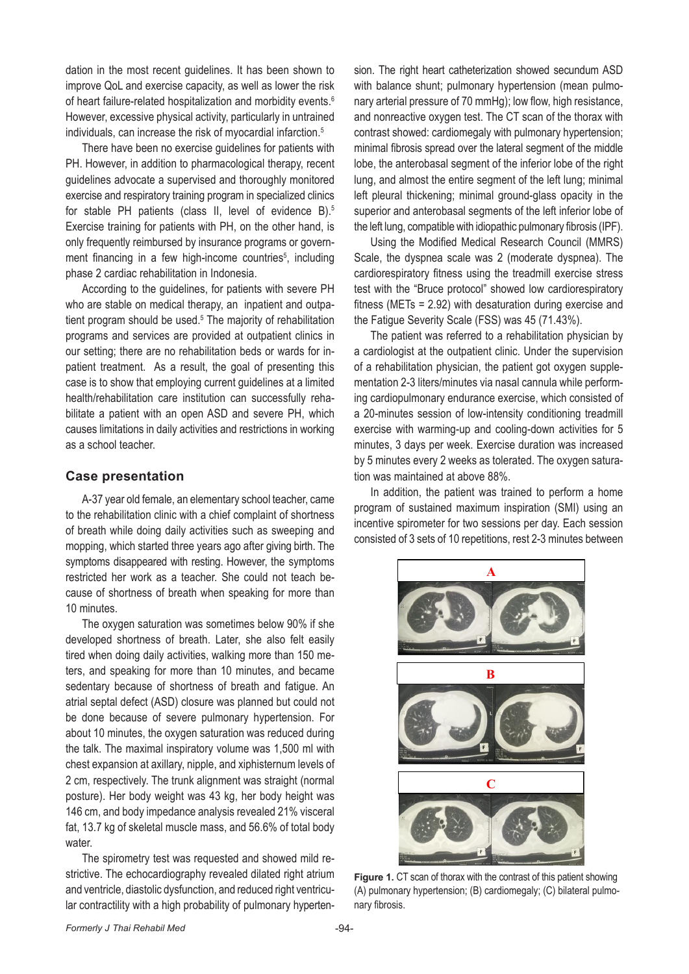dation in the most recent guidelines. It has been shown to improve QoL and exercise capacity, as well as lower the risk of heart failure-related hospitalization and morbidity events.<sup>6</sup> However, excessive physical activity, particularly in untrained individuals, can increase the risk of myocardial infarction.<sup>5</sup>

There have been no exercise guidelines for patients with PH. However, in addition to pharmacological therapy, recent guidelines advocate a supervised and thoroughly monitored exercise and respiratory training program in specialized clinics for stable PH patients (class II, level of evidence B).<sup>5</sup> Exercise training for patients with PH, on the other hand, is only frequently reimbursed by insurance programs or government financing in a few high-income countries<sup>5</sup>, including phase 2 cardiac rehabilitation in Indonesia.

According to the guidelines, for patients with severe PH who are stable on medical therapy, an inpatient and outpatient program should be used.<sup>5</sup> The majority of rehabilitation programs and services are provided at outpatient clinics in our setting; there are no rehabilitation beds or wards for inpatient treatment. As a result, the goal of presenting this case is to show that employing current guidelines at a limited health/rehabilitation care institution can successfully rehabilitate a patient with an open ASD and severe PH, which causes limitations in daily activities and restrictions in working as a school teacher.

#### **Case presentation**

A-37 year old female, an elementary school teacher, came to the rehabilitation clinic with a chief complaint of shortness of breath while doing daily activities such as sweeping and mopping, which started three years ago after giving birth. The symptoms disappeared with resting. However, the symptoms restricted her work as a teacher. She could not teach because of shortness of breath when speaking for more than 10 minutes.

The oxygen saturation was sometimes below 90% if she developed shortness of breath. Later, she also felt easily tired when doing daily activities, walking more than 150 meters, and speaking for more than 10 minutes, and became sedentary because of shortness of breath and fatigue. An atrial septal defect (ASD) closure was planned but could not be done because of severe pulmonary hypertension. For about 10 minutes, the oxygen saturation was reduced during the talk. The maximal inspiratory volume was 1,500 ml with chest expansion at axillary, nipple, and xiphisternum levels of 2 cm, respectively. The trunk alignment was straight (normal posture). Her body weight was 43 kg, her body height was 146 cm, and body impedance analysis revealed 21% visceral fat, 13.7 kg of skeletal muscle mass, and 56.6% of total body water.

The spirometry test was requested and showed mild restrictive. The echocardiography revealed dilated right atrium and ventricle, diastolic dysfunction, and reduced right ventricu-99 lar contractility with a high probability of pulmonary hyperten-100 **Figure 1**. CT scan of thorax with the contrast of this patient showing (A) pulmonary hypertension; (B)

sion. The right heart catheterization showed secundum ASD with balance shunt; pulmonary hypertension (mean pulmonary arterial pressure of 70 mmHg); low flow, high resistance, and nonreactive oxygen test. The CT scan of the thorax with contrast showed: cardiomegaly with pulmonary hypertension; minimal fibrosis spread over the lateral segment of the middle lobe, the anterobasal segment of the inferior lobe of the right lung, and almost the entire segment of the left lung; minimal left pleural thickening; minimal ground-glass opacity in the superior and anterobasal segments of the left inferior lobe of the left lung, compatible with idiopathic pulmonary fibrosis (IPF).

Using the Modified Medical Research Council (MMRS) Scale, the dyspnea scale was 2 (moderate dyspnea). The cardiorespiratory fitness using the treadmill exercise stress test with the "Bruce protocol" showed low cardiorespiratory fitness (METs = 2.92) with desaturation during exercise and the Fatigue Severity Scale (FSS) was 45 (71.43%).

The patient was referred to a rehabilitation physician by a cardiologist at the outpatient clinic. Under the supervision of a rehabilitation physician, the patient got oxygen supplementation 2-3 liters/minutes via nasal cannula while performing cardiopulmonary endurance exercise, which consisted of a 20-minutes session of low-intensity conditioning treadmill exercise with warming-up and cooling-down activities for 5 minutes, 3 days per week. Exercise duration was increased by 5 minutes every 2 weeks as tolerated. The oxygen saturation was maintained at above 88%.

In addition, the patient was trained to perform a home program of sustained maximum inspiration (SMI) using an incentive spirometer for two sessions per day. Each session consisted of 3 sets of 10 repetitions, rest 2-3 minutes between



**Figure 1.** CT scan of thorax with the contrast of this patient showing (A) pulmonary hypertension; (B) cardiomegaly; (C) bilateral pulmonary fibrosis.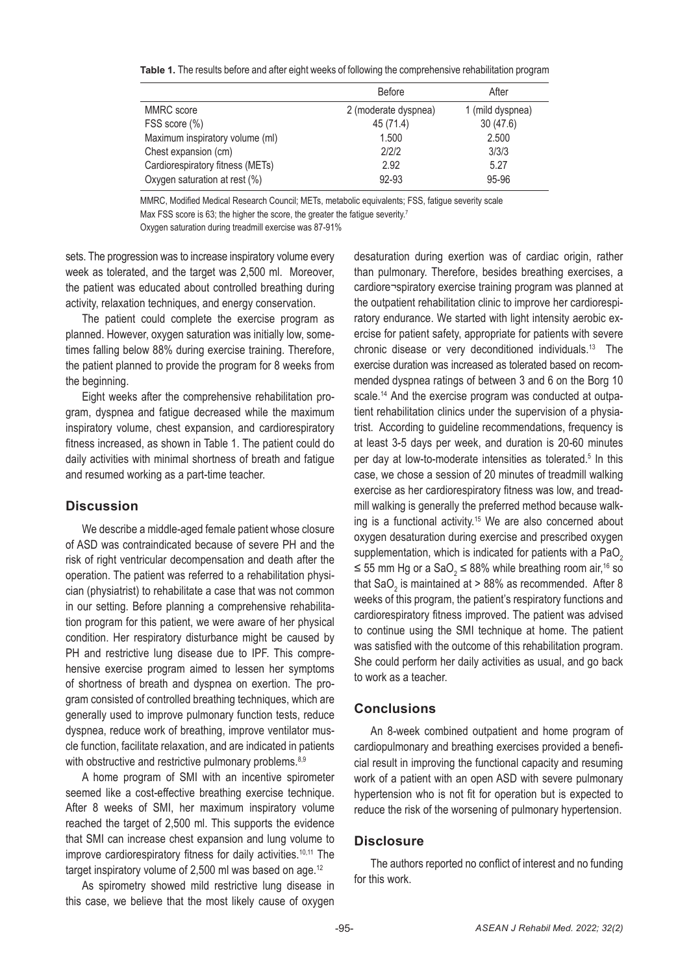**Table 1.** The results before and after eight weeks of following the comprehensive rehabilitation program

|                                  | <b>Before</b>        | After            |
|----------------------------------|----------------------|------------------|
| MMRC score                       | 2 (moderate dyspnea) | 1 (mild dyspnea) |
| FSS score (%)                    | 45 (71.4)            | 30(47.6)         |
| Maximum inspiratory volume (ml)  | 1.500                | 2.500            |
| Chest expansion (cm)             | 2/2/2                | 3/3/3            |
| Cardiorespiratory fitness (METs) | 2.92                 | 5.27             |
| Oxygen saturation at rest (%)    | 92-93                | 95-96            |

MMRC, Modified Medical Research Council; METs, metabolic equivalents; FSS, fatigue severity scale Max FSS score is 63; the higher the score, the greater the fatigue severity.<sup>7</sup> Oxygen saturation during treadmill exercise was 87-91%

sets. The progression was to increase inspiratory volume every week as tolerated, and the target was 2,500 ml. Moreover, the patient was educated about controlled breathing during activity, relaxation techniques, and energy conservation.

The patient could complete the exercise program as planned. However, oxygen saturation was initially low, sometimes falling below 88% during exercise training. Therefore, the patient planned to provide the program for 8 weeks from the beginning.

Eight weeks after the comprehensive rehabilitation program, dyspnea and fatigue decreased while the maximum inspiratory volume, chest expansion, and cardiorespiratory fitness increased, as shown in Table 1. The patient could do daily activities with minimal shortness of breath and fatigue and resumed working as a part-time teacher.

#### **Discussion**

We describe a middle-aged female patient whose closure of ASD was contraindicated because of severe PH and the risk of right ventricular decompensation and death after the operation. The patient was referred to a rehabilitation physician (physiatrist) to rehabilitate a case that was not common in our setting. Before planning a comprehensive rehabilitation program for this patient, we were aware of her physical condition. Her respiratory disturbance might be caused by PH and restrictive lung disease due to IPF. This comprehensive exercise program aimed to lessen her symptoms of shortness of breath and dyspnea on exertion. The program consisted of controlled breathing techniques, which are generally used to improve pulmonary function tests, reduce dyspnea, reduce work of breathing, improve ventilator muscle function, facilitate relaxation, and are indicated in patients with obstructive and restrictive pulmonary problems.<sup>8,9</sup>

A home program of SMI with an incentive spirometer seemed like a cost-effective breathing exercise technique. After 8 weeks of SMI, her maximum inspiratory volume reached the target of 2,500 ml. This supports the evidence that SMI can increase chest expansion and lung volume to improve cardiorespiratory fitness for daily activities.<sup>10,11</sup> The target inspiratory volume of 2,500 ml was based on age.12

As spirometry showed mild restrictive lung disease in this case, we believe that the most likely cause of oxygen desaturation during exertion was of cardiac origin, rather than pulmonary. Therefore, besides breathing exercises, a cardiore¬spiratory exercise training program was planned at the outpatient rehabilitation clinic to improve her cardiorespiratory endurance. We started with light intensity aerobic exercise for patient safety, appropriate for patients with severe chronic disease or very deconditioned individuals.13 The exercise duration was increased as tolerated based on recommended dyspnea ratings of between 3 and 6 on the Borg 10 scale.<sup>14</sup> And the exercise program was conducted at outpatient rehabilitation clinics under the supervision of a physiatrist. According to guideline recommendations, frequency is at least 3-5 days per week, and duration is 20-60 minutes per day at low-to-moderate intensities as tolerated.<sup>5</sup> In this case, we chose a session of 20 minutes of treadmill walking exercise as her cardiorespiratory fitness was low, and treadmill walking is generally the preferred method because walking is a functional activity.<sup>15</sup> We are also concerned about oxygen desaturation during exercise and prescribed oxygen supplementation, which is indicated for patients with a PaO<sub>2</sub> ≤ 55 mm Hg or a SaO<sub>2</sub> ≤ 88% while breathing room air,<sup>16</sup> so that SaO<sub>2</sub> is maintained at > 88% as recommended. After 8 weeks of this program, the patient's respiratory functions and cardiorespiratory fitness improved. The patient was advised to continue using the SMI technique at home. The patient was satisfied with the outcome of this rehabilitation program. She could perform her daily activities as usual, and go back to work as a teacher.

# **Conclusions**

An 8-week combined outpatient and home program of cardiopulmonary and breathing exercises provided a beneficial result in improving the functional capacity and resuming work of a patient with an open ASD with severe pulmonary hypertension who is not fit for operation but is expected to reduce the risk of the worsening of pulmonary hypertension.

### **Disclosure**

The authors reported no conflict of interest and no funding for this work.